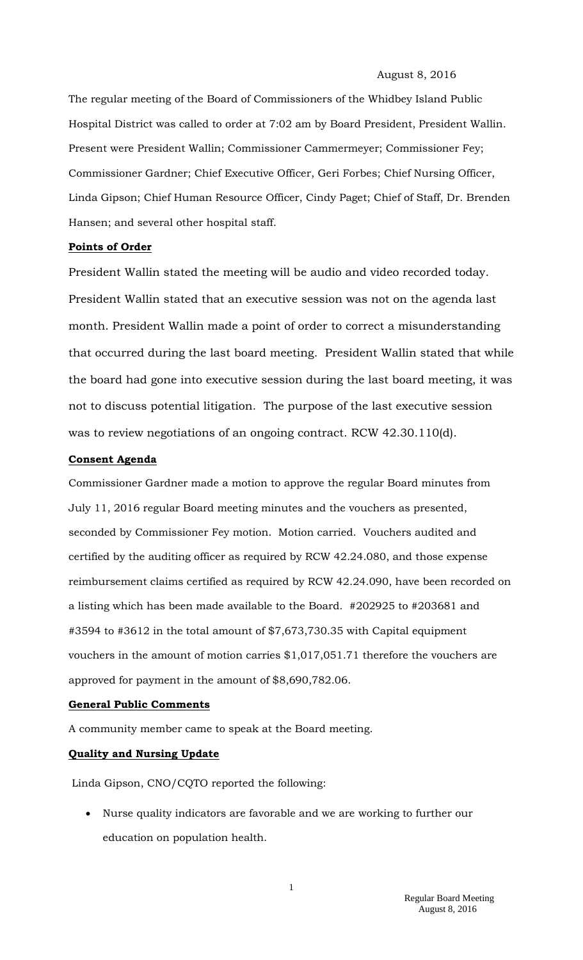#### August 8, 2016

The regular meeting of the Board of Commissioners of the Whidbey Island Public Hospital District was called to order at 7:02 am by Board President, President Wallin. Present were President Wallin; Commissioner Cammermeyer; Commissioner Fey; Commissioner Gardner; Chief Executive Officer, Geri Forbes; Chief Nursing Officer, Linda Gipson; Chief Human Resource Officer, Cindy Paget; Chief of Staff, Dr. Brenden Hansen; and several other hospital staff.

#### **Points of Order**

President Wallin stated the meeting will be audio and video recorded today. President Wallin stated that an executive session was not on the agenda last month. President Wallin made a point of order to correct a misunderstanding that occurred during the last board meeting. President Wallin stated that while the board had gone into executive session during the last board meeting, it was not to discuss potential litigation. The purpose of the last executive session was to review negotiations of an ongoing contract. RCW 42.30.110(d).

#### **Consent Agenda**

Commissioner Gardner made a motion to approve the regular Board minutes from July 11, 2016 regular Board meeting minutes and the vouchers as presented, seconded by Commissioner Fey motion. Motion carried. Vouchers audited and certified by the auditing officer as required by RCW 42.24.080, and those expense reimbursement claims certified as required by RCW 42.24.090, have been recorded on a listing which has been made available to the Board. #202925 to #203681 and #3594 to #3612 in the total amount of \$7,673,730.35 with Capital equipment vouchers in the amount of motion carries \$1,017,051.71 therefore the vouchers are approved for payment in the amount of \$8,690,782.06.

#### **General Public Comments**

A community member came to speak at the Board meeting.

## **Quality and Nursing Update**

Linda Gipson, CNO/CQTO reported the following:

 Nurse quality indicators are favorable and we are working to further our education on population health.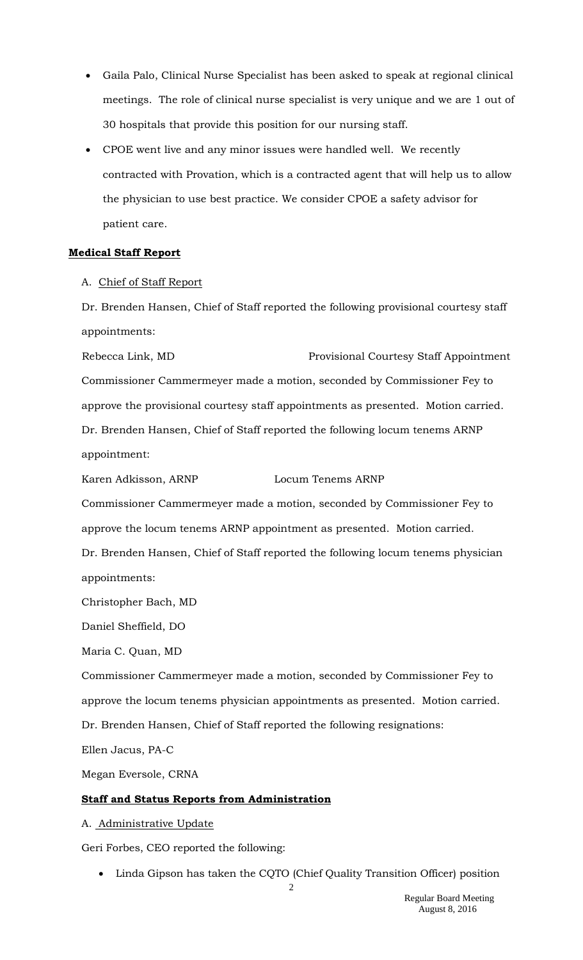- Gaila Palo, Clinical Nurse Specialist has been asked to speak at regional clinical meetings. The role of clinical nurse specialist is very unique and we are 1 out of 30 hospitals that provide this position for our nursing staff.
- CPOE went live and any minor issues were handled well. We recently contracted with Provation, which is a contracted agent that will help us to allow the physician to use best practice. We consider CPOE a safety advisor for patient care.

# **Medical Staff Report**

A. Chief of Staff Report

Dr. Brenden Hansen, Chief of Staff reported the following provisional courtesy staff appointments:

Rebecca Link, MD Provisional Courtesy Staff Appointment Commissioner Cammermeyer made a motion, seconded by Commissioner Fey to approve the provisional courtesy staff appointments as presented. Motion carried. Dr. Brenden Hansen, Chief of Staff reported the following locum tenems ARNP appointment:

Karen Adkisson, ARNP Locum Tenems ARNP

Commissioner Cammermeyer made a motion, seconded by Commissioner Fey to approve the locum tenems ARNP appointment as presented. Motion carried. Dr. Brenden Hansen, Chief of Staff reported the following locum tenems physician appointments:

Christopher Bach, MD

Daniel Sheffield, DO

Maria C. Quan, MD

Commissioner Cammermeyer made a motion, seconded by Commissioner Fey to approve the locum tenems physician appointments as presented. Motion carried. Dr. Brenden Hansen, Chief of Staff reported the following resignations:

Ellen Jacus, PA-C

Megan Eversole, CRNA

# **Staff and Status Reports from Administration**

A. Administrative Update

Geri Forbes, CEO reported the following:

Linda Gipson has taken the CQTO (Chief Quality Transition Officer) position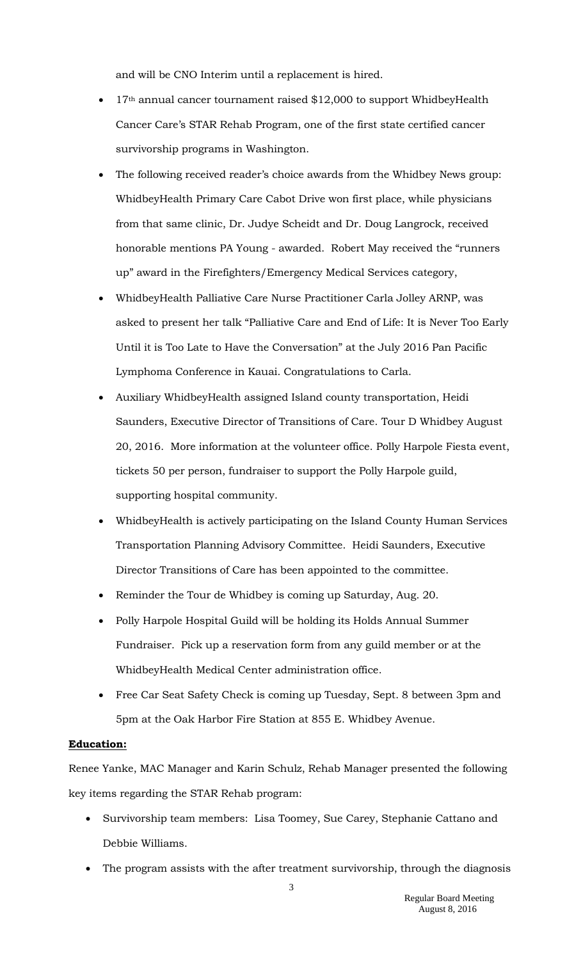and will be CNO Interim until a replacement is hired.

- 17<sup>th</sup> annual cancer tournament raised \$12,000 to support WhidbeyHealth Cancer Care's STAR Rehab Program, one of the first state certified cancer survivorship programs in Washington.
- The following received reader's choice awards from the Whidbey News group: WhidbeyHealth Primary Care Cabot Drive won first place, while physicians from that same clinic, Dr. Judye Scheidt and Dr. Doug Langrock, received honorable mentions PA Young - awarded. Robert May received the "runners up" award in the Firefighters/Emergency Medical Services category,
- WhidbeyHealth Palliative Care Nurse Practitioner Carla Jolley ARNP, was asked to present her talk "Palliative Care and End of Life: It is Never Too Early Until it is Too Late to Have the Conversation" at the July 2016 Pan Pacific Lymphoma Conference in Kauai. Congratulations to Carla.
- Auxiliary WhidbeyHealth assigned Island county transportation, Heidi Saunders, Executive Director of Transitions of Care. Tour D Whidbey August 20, 2016. More information at the volunteer office. Polly Harpole Fiesta event, tickets 50 per person, fundraiser to support the Polly Harpole guild, supporting hospital community.
- WhidbeyHealth is actively participating on the Island County Human Services Transportation Planning Advisory Committee. Heidi Saunders, Executive Director Transitions of Care has been appointed to the committee.
- Reminder the Tour de Whidbey is coming up Saturday, Aug. 20.
- Polly Harpole Hospital Guild will be holding its Holds Annual Summer Fundraiser. Pick up a reservation form from any guild member or at the WhidbeyHealth Medical Center administration office.
- Free Car Seat Safety Check is coming up Tuesday, Sept. 8 between 3pm and 5pm at the Oak Harbor Fire Station at 855 E. Whidbey Avenue.

#### **Education:**

Renee Yanke, MAC Manager and Karin Schulz, Rehab Manager presented the following key items regarding the STAR Rehab program:

- Survivorship team members: Lisa Toomey, Sue Carey, Stephanie Cattano and Debbie Williams.
- The program assists with the after treatment survivorship, through the diagnosis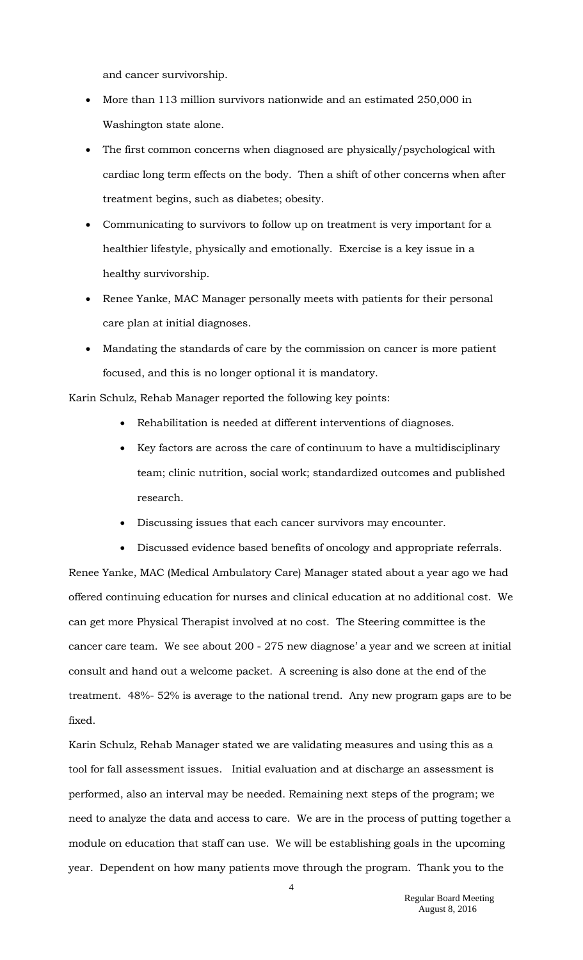and cancer survivorship.

- More than 113 million survivors nationwide and an estimated 250,000 in Washington state alone.
- The first common concerns when diagnosed are physically/psychological with cardiac long term effects on the body. Then a shift of other concerns when after treatment begins, such as diabetes; obesity.
- Communicating to survivors to follow up on treatment is very important for a healthier lifestyle, physically and emotionally. Exercise is a key issue in a healthy survivorship.
- Renee Yanke, MAC Manager personally meets with patients for their personal care plan at initial diagnoses.
- Mandating the standards of care by the commission on cancer is more patient focused, and this is no longer optional it is mandatory.

Karin Schulz, Rehab Manager reported the following key points:

- Rehabilitation is needed at different interventions of diagnoses.
- Key factors are across the care of continuum to have a multidisciplinary team; clinic nutrition, social work; standardized outcomes and published research.
- Discussing issues that each cancer survivors may encounter.
- Discussed evidence based benefits of oncology and appropriate referrals.

Renee Yanke, MAC (Medical Ambulatory Care) Manager stated about a year ago we had offered continuing education for nurses and clinical education at no additional cost. We can get more Physical Therapist involved at no cost. The Steering committee is the cancer care team. We see about 200 - 275 new diagnose' a year and we screen at initial consult and hand out a welcome packet. A screening is also done at the end of the treatment. 48%- 52% is average to the national trend. Any new program gaps are to be fixed.

Karin Schulz, Rehab Manager stated we are validating measures and using this as a tool for fall assessment issues. Initial evaluation and at discharge an assessment is performed, also an interval may be needed. Remaining next steps of the program; we need to analyze the data and access to care. We are in the process of putting together a module on education that staff can use. We will be establishing goals in the upcoming year. Dependent on how many patients move through the program. Thank you to the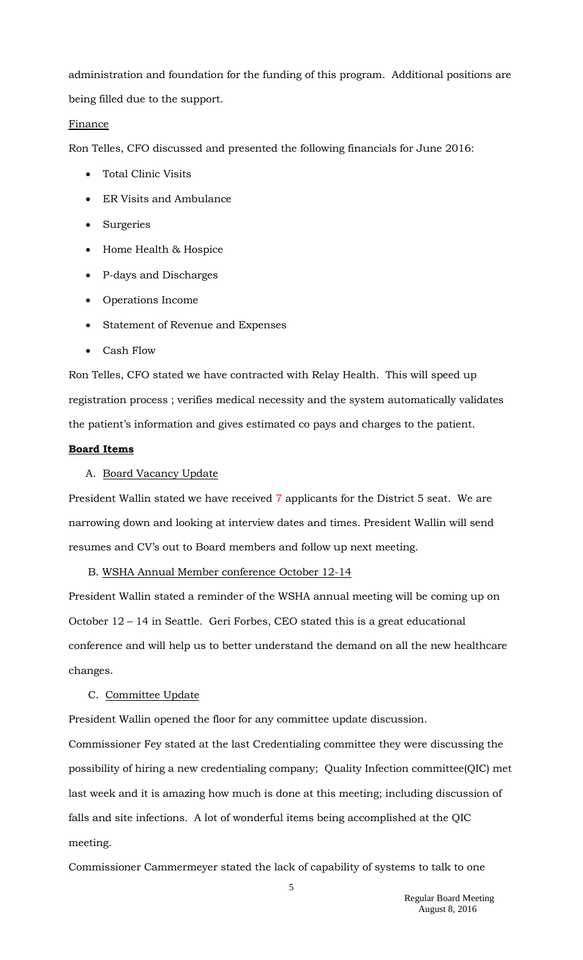administration and foundation for the funding of this program. Additional positions are being filled due to the support.

## Finance

Ron Telles, CFO discussed and presented the following financials for June 2016:

- Total Clinic Visits
- ER Visits and Ambulance
- Surgeries
- Home Health & Hospice
- P-days and Discharges
- Operations Income
- Statement of Revenue and Expenses
- Cash Flow

Ron Telles, CFO stated we have contracted with Relay Health. This will speed up registration process ; verifies medical necessity and the system automatically validates the patient's information and gives estimated co pays and charges to the patient.

#### **Board Items**

#### A. Board Vacancy Update

President Wallin stated we have received 7 applicants for the District 5 seat. We are narrowing down and looking at interview dates and times. President Wallin will send resumes and CV's out to Board members and follow up next meeting.

## B. WSHA Annual Member conference October 12-14

President Wallin stated a reminder of the WSHA annual meeting will be coming up on October 12 – 14 in Seattle. Geri Forbes, CEO stated this is a great educational conference and will help us to better understand the demand on all the new healthcare changes.

## C. Committee Update

President Wallin opened the floor for any committee update discussion.

Commissioner Fey stated at the last Credentialing committee they were discussing the possibility of hiring a new credentialing company; Quality Infection committee(QIC) met last week and it is amazing how much is done at this meeting; including discussion of falls and site infections. A lot of wonderful items being accomplished at the QIC meeting.

Commissioner Cammermeyer stated the lack of capability of systems to talk to one

5